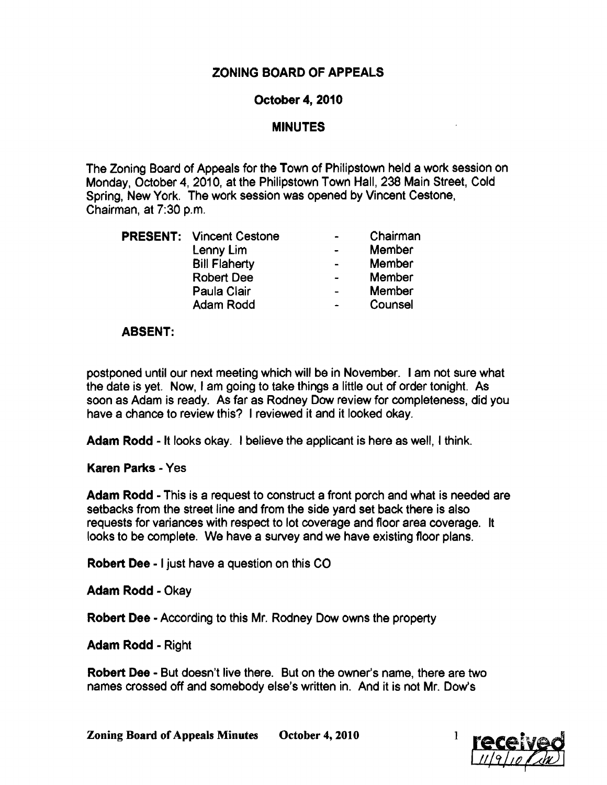# ZONING BOARD OF APPEALS

### October 4, 2010

## **MINUTES**

The Zoning Board of Appeals for the Town of Philipstown held a work session on Monday, October 4, 2010, at the Philipstown Town Hall, 238 Main Street, Cold Spring, New York. The work session was opened by Vincent Cestone, Chairman, at 7:30 p.m.

|  | <b>PRESENT:</b> Vincent Cestone |                          | Chairman |
|--|---------------------------------|--------------------------|----------|
|  | Lenny Lim                       |                          | Member   |
|  | <b>Bill Flaherty</b>            |                          | Member   |
|  | <b>Robert Dee</b>               | $\overline{\phantom{0}}$ | Member   |
|  | Paula Clair                     |                          | Member   |
|  | Adam Rodd                       |                          | Counsel  |
|  |                                 |                          |          |

### ABSENT:

postponed until our next meeting which will be in November. I am not sure what the date is yet. Now, I am going to take things a little out of order tonight. As soon as Adam is ready. As far as Rodney Dow review for completeness, did you have a chance to review this? I reviewed it and it looked okay.

Adam Rodd - It looks okay. I believe the applicant is here as well, I think.

#### Karen Parks - Yes

Adam Rodd - This is a request to construct a front porch and what is needed are setbacks from the street line and from the side yard set back there is also requests for variances with respect to lot coverage and floor area coverage. It looks to be complete. We have a survey and we have existing floor plans.

Robert Dee - I just have a question on this CO

Adam Rodd - Okay

Robert Dee - According to this Mr. Rodney Dow owns the property

**Adam Rodd - Right** 

Robert Dee - But doesn't live there. But on the owner's name, there are two names crossed off and somebody else's written in. And it is not Mr. Dow's

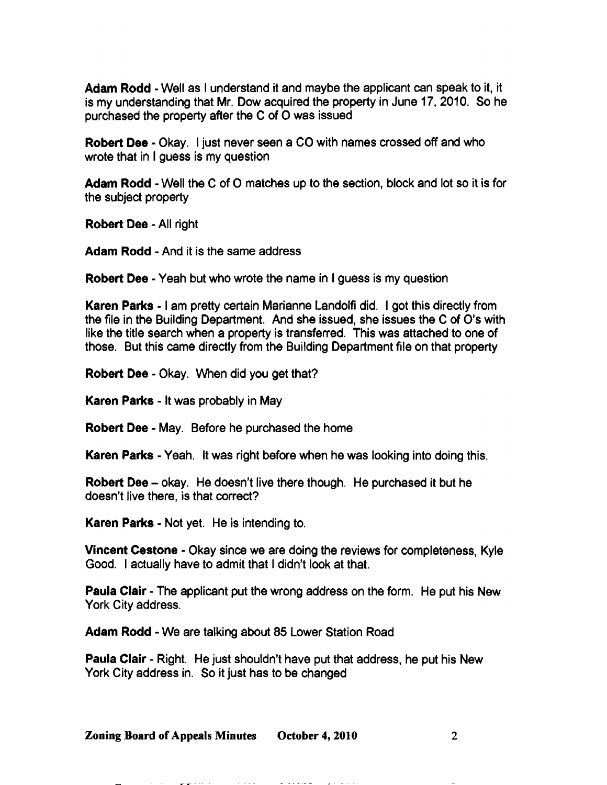Adam Rodd - Well as I understand it and maybe the applicant can speak to it, it is my understanding that Mr. Dow acquired the property in June 17, 2010. So he purchased the property after the C of 0 was issued

Robert Dee - Okay. I just never seen a CO with names crossed off and who wrote that in I guess is my question

Adam Rodd - Well the C of O matches up to the section, block and lot so it is for the subject property

Robert Dee - All right

Adam Rodd - And it is the same address

Robert Dee - Yeah but who wrote the name in I guess is my question

Karen Parks - I am pretty certain Marianne Landolfi did. I got this directly from the file in the Building Department. And she issued, she issues the C of O's with like the title search when a property is transferred. This was attached to one of those. But this came directly from the Building Department file on that property

Robert Dee - Okay. When did you get that?

Karen Parks - It was probably in May

Robert Dee - May. Before he purchased the home

Karen Parks - Yeah. It was right before when he was looking into doing this.

Robert Dee - okay. He doesn't live there though. He purchased it but he doesn't live there, is that correct?

Karen Parks - Not yet. He is intending to.

Vincent Cestone - Okay since we are doing the reviews for completeness, Kyle Good. I actually have to admit that I didn't look at that.

Paula Clair - The applicant put the wrong address on the form. He put his New York City address.

Adam Rodd - We are talking about 85 Lower Station Road

Paula Clair - Right. He just shouldn't have put that address, he put his New York City address in. So it just has to be changed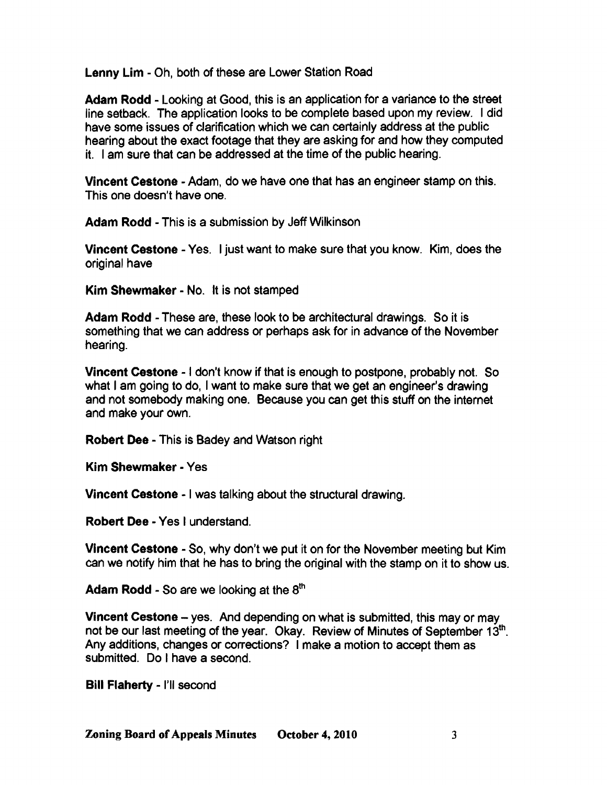Lenny Lim - Oh, both of these are Lower Station Road

Adam Rodd - Looking at Good, this is an application for a variance to the street line setback. The application looks to be complete based upon my review. I did have some issues of darification which we can certainly address at the public hearing about the exact footage that they are asking for and how they computed it. I am sure that can be addressed at the time of the public hearing.

Vincent Cestone - Adam, do we have one that has an engineer stamp on this. This one doesn't have one.

Adam Rodd - This is a submission by Jeff Wilkinson

Vincent cestone - Yes. I just want to make sure that you know. Kim, does the original have

Kim Shewmaker - No. It is not stamped

Adam Rodd - These are, these look to be architectural drawings. So it is something that we can address or perhaps ask for in advance of the November hearing.

Vincent cestone - I don't know if that is enough to postpone, probably not. So what I am going to do, I want to make sure that we get an engineer's drawing and not somebody making one. Because you can get this stuff on the internet and make your own.

Robert Dee - This is Badey and Watson right

Kim Shewmaker - Yes

Vincent cestone - I was talking about the structural drawing.

Robert Dee - Yes I understand.

Vincent Cestone - So, why don't we put it on for the November meeting but Kim can we notify him that he has to bring the original with the stamp on it to show us.

Adam Rodd - So are we looking at the 8th

Vincent Cestone - yes. And depending on what is submitted, this may or may not be our last meeting of the year. Okay. Review of Minutes of September 13<sup>th</sup>. Any additions, changes or corrections? I make a motion to accept them as submitted. Do I have a second.

Bill Flaherty - I'll second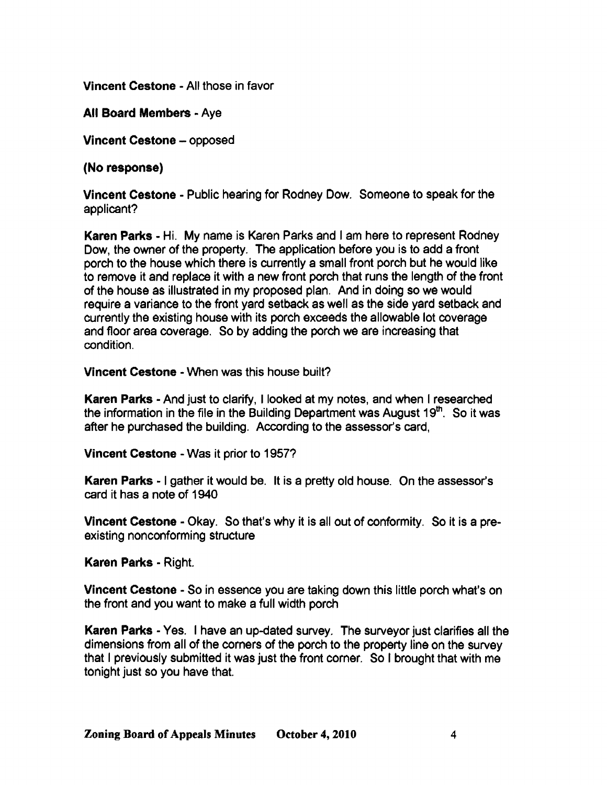Vincent Cestone· All those in favor

All Board Members· Aye

Vincent Cestone - opposed

(No response)

Vincent Cestone • Public hearing for Rodney Dow. Someone to speak for the applicant?

Karen Parks· Hi. My name is Karen Parks and I am here to represent Rodney Dow, the owner of the property. The application before you is to add a front porch to the house which there is currently a small front porch but he would like to remove it and replace it with a new front porch that runs the length of the front of the house as illustrated in my proposed plan. And in doing so we would require a variance to the front yard setback as well as the side yard setback and currently the existing house with its porch exceeds the allowable lot coverage and floor area coverage. So by adding the porch we are increasing that condition.

Vincent Cestone • When was this house built?

Karen Parks - And just to clarify, I looked at my notes, and when I researched the information in the file in the Building Department was August  $19<sup>th</sup>$ . So it was after he purchased the building. According to the assessor's card,

Vincent Cestone • Was it prior to 1957?

Karen Parks - I gather it would be. It is a pretty old house. On the assessor's card it has a note of 1940

Vincent Cestone - Okay. So that's why it is all out of conformity. So it is a preexisting nonconforming structure

Karen Parks - Right.

Vincent Cestone • So in essence you are taking down this little porch what's on the front and you want to make a full width porch

Karen Parks - Yes. I have an up-dated survey. The surveyor just clarifies all the dimensions from all of the corners of the porch to the property line on the survey that I previously submitted it was just the front corner. So I brought that with me tonight just so you have that.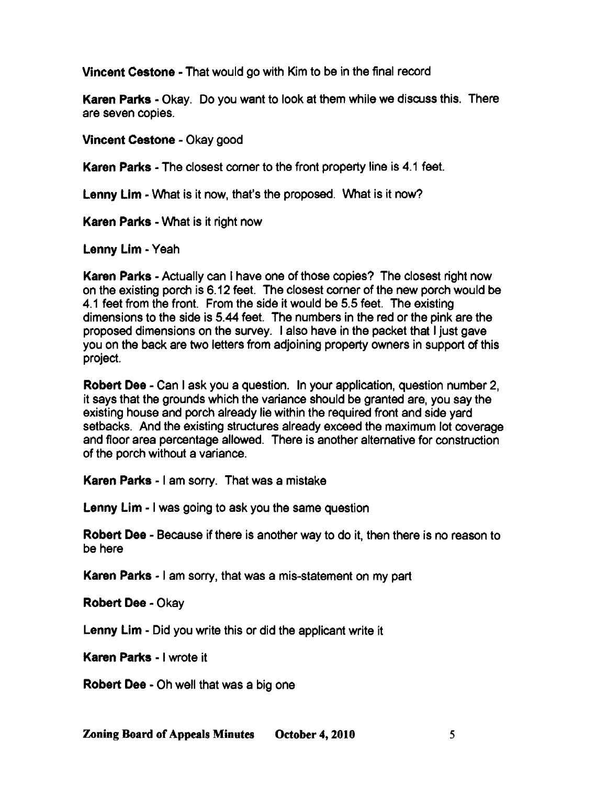Vincent Cestone - That would go with Kim to be in the final record

Karen Parks - Okay. Do you want to look at them while we discuss this. There are seven copies.

Vincent Cestone - Okay good

Karen Parks - The closest corner to the front property line is 4.1 feet.

Lenny Lim - What is it now, that's the proposed. What is it now?

Karen Parks - What is it right now

Lenny lim - Yeah

Karen Parks - Actually can I have one of those copies? The closest right now on the existing porch is 6.12 feet. The closest corner of the new porch would be 4.1 feet from the front. From the side it would be 5.5 feet. The existing dimensions to the side is 5.44 feet. The numbers in the red or the pink are the proposed dimensions on the survey. I also have in the packet that I just gave you on the back are two letters from adjoining property owners in support of this project.

Robert Dee - Can I ask you a question. In your application, question number 2, it says that the grounds which the variance should be granted are, you say the existing house and porch already lie within the required front and side yard setbacks. And the existing structures already exceed the maximum lot coverage and floor area percentage allowed. There is another alternative for construction of the porch without a variance.

Karen Parks - I am sorry. That was a mistake

Lenny Lim - I was going to ask you the same question

Robert Dee - Because if there is another way to do it, then there is no reason to be here

Karen Parks - I am sorry, that was a mis-statement on my part

Robert Dee - Okay

Lenny Lim - Did you write this or did the applicant write it

Karen Parks - I wrote it

Robert Dee· Oh well that was a big one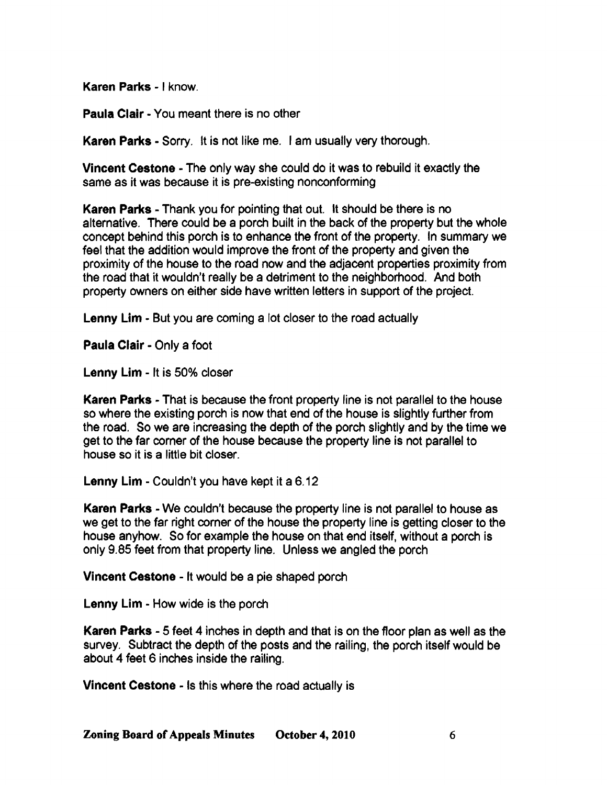Karen Parks - I know.

Paula Clair - You meant there is no other

Karen Parks - Sorry. It is not like me. I am usually very thorough.

Vincent Cestone - The only way she could do it was to rebuild it exactly the same as it was because it is pre-existing nonconforming

Karen Parks - Thank you for pointing that out. It should be there is no alternative. There could be a porch built in the back of the property but the whole concept behind this porch is to enhance the front of the property. In summary we feel that the addition would improve the front of the property and given the proximity of the house to the road now and the adjacent properties proximity from the road that it wouldn't really be a detriment to the neighborhood. And both property owners on either side have written letters in support of the project.

Lenny Lim - But you are coming a lot closer to the road actually

Paula Clair - Only a foot

Lenny Lim - It is 50% closer

Karen Parks - That is because the front property line is not parallel to the house so where the existing porch is now that end of the house is slightly further from the road. So we are increasing the depth of the porch slightly and by the time we get to the far corner of the house because the property line is not parallel to house so it is a little bit closer.

Lenny Lim - Couldn't you have kept it a 6.12

Karen Parks - We couldn't because the property line is not parallel to house as we get to the far right corner of the house the property line is getting closer to the house anyhow. So for example the house on that end itself, without a porch is only 9.85 feet from that property line. Unless we angled the porch

Vincent Cestone - It would be a pie shaped porch

Lenny Lim - How wide is the porch

Karen Parks - 5 feet 4 inches in depth and that is on the floor plan as well as the survey. Subtract the depth of the posts and the railing, the porch itself would be about 4 feet 6 inches inside the railing.

Vincent Cestone - Is this where the road actually is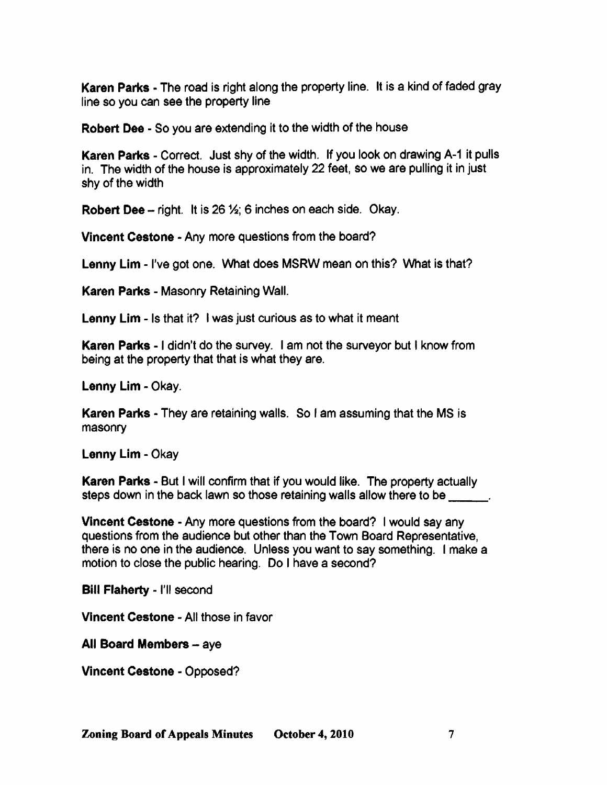Karen Parks - The road is right along the property line. It is a kind of faded gray line so you can see the property line

Robert Dee· So you are extending it to the width of the house

Karen Parks - Correct. Just shy of the width. If you look on drawing A-1 it pulls in. The width of the house is approximately 22 feet, so we are pulling it in just shy of the width

**Robert Dee** - right. It is 26  $\frac{1}{2}$ ; 6 inches on each side. Okay.

Vincent Cestone - Any more questions from the board?

Lenny Lim • I've got one. What does MSRW mean on this? What is that?

**Karen Parks - M**asonry Retaining Wall.

Lenny Lim - Is that it? I was just curious as to what it meant

Karen Parks - I didn't do the survey. I am not the surveyor but I know from being at the property that that is what they are.

Lenny Lim - Okay.

Karen Parks - They are retaining walls. So I am assuming that the MS is masonry

Lenny Lim • Okay

Karen Parks - But I will confirm that if you would like. The property actually steps down in the back lawn so those retaining walls allow there to be

Vincent Cestone • Any more questions from the board? I would say any questions from the audience but other than the Town Board Representative, there is no one in the audience. Unless you want to say something. I make a motion to close the public hearing. Do I have a second?

Bill Flaherty - I'll second

Vincent Cestone - All those in favor

All Board Members  $-$  aye

Vincent Cestone • Opposed?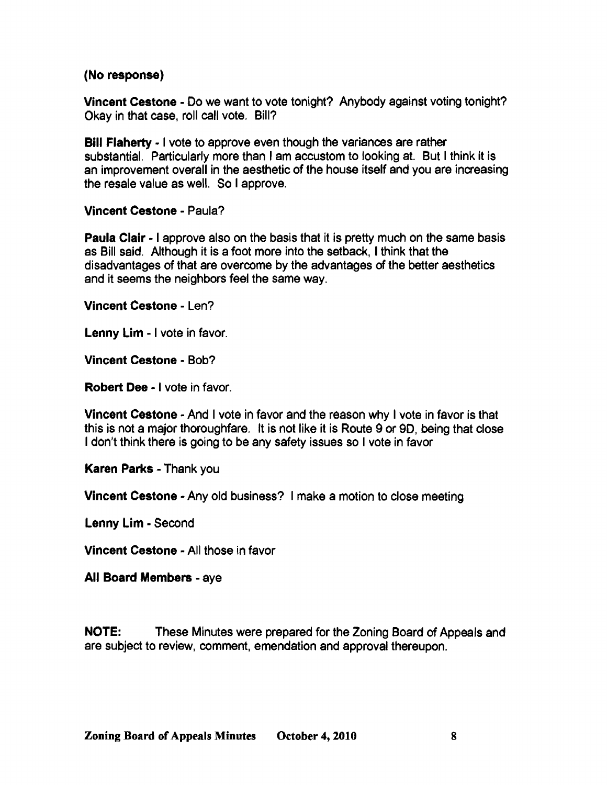## (No response)

Vincent cestone - Do we want to vote tonight? Anybody against voting tonight? Okay in that case, roll call vote. Bill?

Bill Flaherty • I vote to approve even though the variances are rather substantial. Particularly more than I am accustom to looking at. But I think it is an improvement overall in the aesthetic of the house itself and you are increasing the resale value as well. So I approve.

Vincent Cestone • Paula?

Paula Clair· I approve also on the basis that it is pretty much on the same basis as Bill said. Although it is a foot more into the setback, I think that the disadvantages of that are overcome by the advantages of the better aesthetics and it seems the neighbors feel the same way.

Vincent Cestone· Len?

Lenny Lim - I vote in favor.

Vincent Cestone • Bob?

Robert Dee - I vote in favor.

Vincent Cestone • And I vote in favor and the reason why I vote in favor is that this is not a major thoroughfare. It is not like it is Route 9 or 90, being that close I don't think there is going to be any safety issues so I vote in favor

Karen Parks - Thank you

Vincent Cestone • Any old business? I make a motion to close meeting

Lenny Lim - Second

**Vincent Cestone - All those in favor** 

All Board Members· aye

NOTE: These Minutes were prepared for the Zoning Board of Appeals and are subject to review, comment, emendation and approval thereupon.